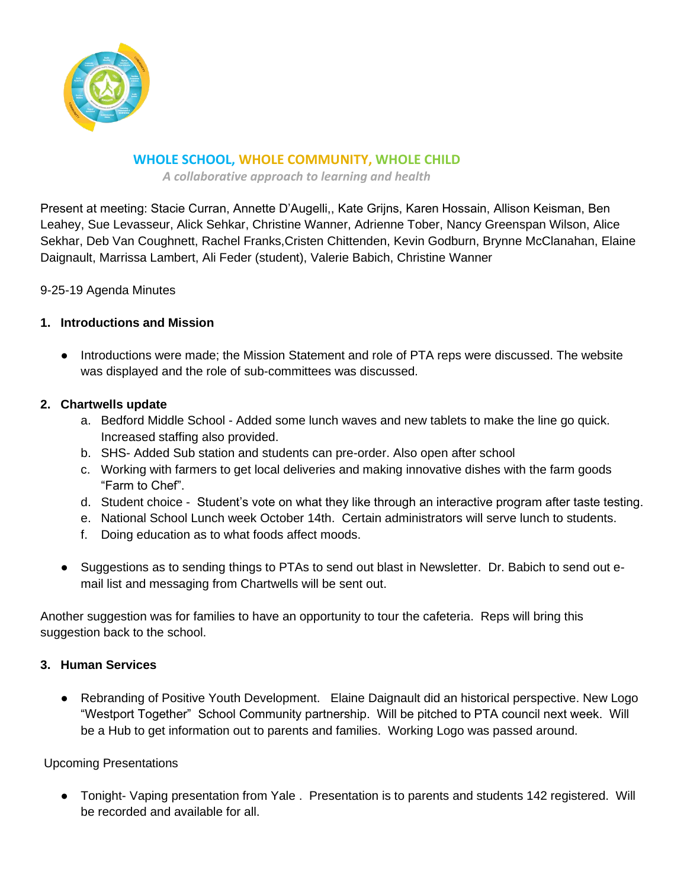

# **WHOLE SCHOOL, WHOLE COMMUNITY, WHOLE CHILD**

*A collaborative approach to learning and health*

Present at meeting: Stacie Curran, Annette D'Augelli,, Kate Grijns, Karen Hossain, Allison Keisman, Ben Leahey, Sue Levasseur, Alick Sehkar, Christine Wanner, Adrienne Tober, Nancy Greenspan Wilson, Alice Sekhar, Deb Van Coughnett, Rachel Franks,Cristen Chittenden, Kevin Godburn, Brynne McClanahan, Elaine Daignault, Marrissa Lambert, Ali Feder (student), Valerie Babich, Christine Wanner

9-25-19 Agenda Minutes

## **1. Introductions and Mission**

● Introductions were made; the Mission Statement and role of PTA reps were discussed. The website was displayed and the role of sub-committees was discussed.

## **2. Chartwells update**

- a. Bedford Middle School Added some lunch waves and new tablets to make the line go quick. Increased staffing also provided.
- b. SHS- Added Sub station and students can pre-order. Also open after school
- c. Working with farmers to get local deliveries and making innovative dishes with the farm goods "Farm to Chef".
- d. Student choice Student's vote on what they like through an interactive program after taste testing.
- e. National School Lunch week October 14th. Certain administrators will serve lunch to students.
- f. Doing education as to what foods affect moods.
- Suggestions as to sending things to PTAs to send out blast in Newsletter. Dr. Babich to send out email list and messaging from Chartwells will be sent out.

Another suggestion was for families to have an opportunity to tour the cafeteria. Reps will bring this suggestion back to the school.

#### **3. Human Services**

Rebranding of Positive Youth Development. Elaine Daignault did an historical perspective. New Logo "Westport Together" School Community partnership. Will be pitched to PTA council next week. Will be a Hub to get information out to parents and families. Working Logo was passed around.

#### Upcoming Presentations

● Tonight- Vaping presentation from Yale . Presentation is to parents and students 142 registered. Will be recorded and available for all.